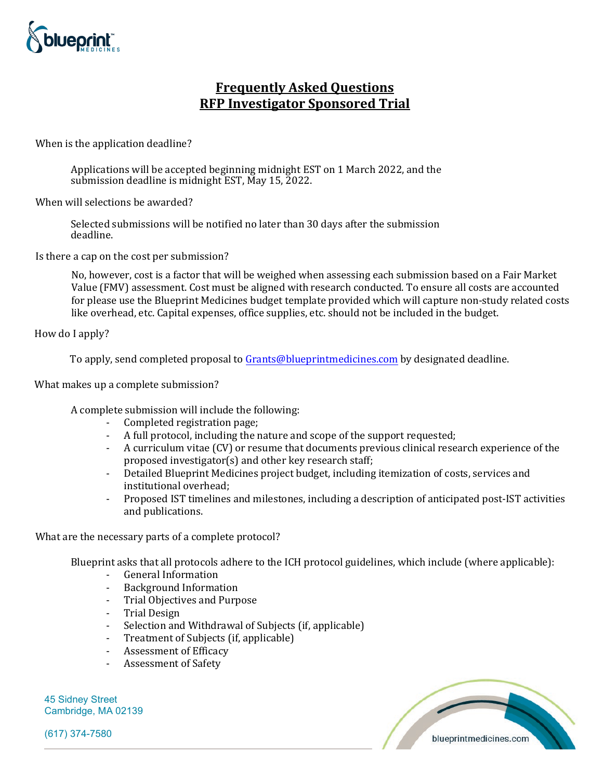

## **Frequently Asked Questions RFP Investigator Sponsored Trial**

When is the application deadline?

Applications will be accepted beginning midnight EST on 1 March 2022, and the submission deadline is midnight EST, May 15, 2022.

When will selections be awarded?

Selected submissions will be notified no later than 30 days after the submission deadline.

Is there a cap on the cost per submission?

No, however, cost is a factor that will be weighed when assessing each submission based on a Fair Market Value (FMV) assessment. Cost must be aligned with research conducted. To ensure all costs are accounted for please use the Blueprint Medicines budget template provided which will capture non-study related costs like overhead, etc. Capital expenses, office supplies, etc. should not be included in the budget.

How do I apply?

To apply, send completed proposal t[o Grants@blueprintmedicines.com](mailto:Grants@blueprintmedicines.com) by designated deadline.

What makes up a complete submission?

A complete submission will include the following:

- Completed registration page;
- A full protocol, including the nature and scope of the support requested;
- A curriculum vitae (CV) or resume that documents previous clinical research experience of the proposed investigator(s) and other key research staff;
- Detailed Blueprint Medicines project budget, including itemization of costs, services and institutional overhead;
- Proposed IST timelines and milestones, including a description of anticipated post-IST activities and publications.

What are the necessary parts of a complete protocol?

Blueprint asks that all protocols adhere to the [ICH protocol guidelines,](https://database.ich.org/sites/default/files/E3_Guideline.pdf) which include (where applicable):

- General Information
- Background Information
- Trial Objectives and Purpose
- Trial Design
- Selection and Withdrawal of Subjects (if, applicable)
- Treatment of Subjects (if, applicable)
- Assessment of Efficacy
- Assessment of Safety

45 Sidney Street Cambridge, MA 02139

(617) 374-7580